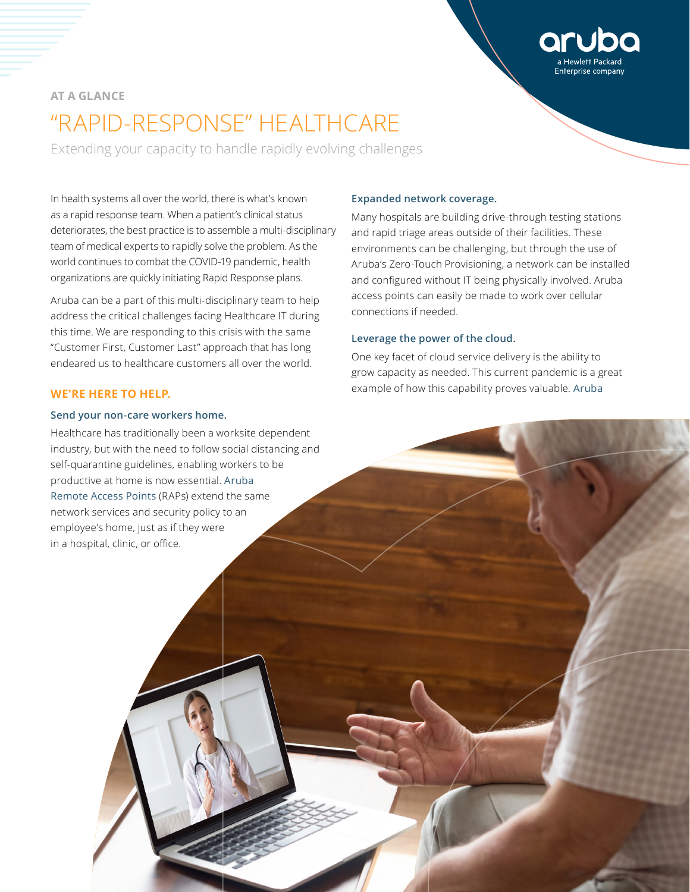# **AT A GLANCE** "RAPID-RESPONSE" HEALTHCARE

Extending your capacity to handle rapidly evolving challenges

In health systems all over the world, there is what's known as a rapid response team. When a patient's clinical status deteriorates, the best practice is to assemble a multi-disciplinary team of medical experts to rapidly solve the problem. As the world continues to combat the COVID-19 pandemic, health organizations are quickly initiating Rapid Response plans.

Aruba can be a part of this multi-disciplinary team to help address the critical challenges facing Healthcare IT during this time. We are responding to this crisis with the same "Customer First, Customer Last" approach that has long endeared us to healthcare customers all over the world.

## **WE'RE HERE TO HELP.**

## **Send your non-care workers home.**

Healthcare has traditionally been a worksite dependent industry, but with the need to follow social distancing and self-quarantine guidelines, enabling workers to be productive at home is now essential. [Aruba](https://www.arubanetworks.com/products/networking/remote-access-points/)  [Remote Access Points](https://www.arubanetworks.com/products/networking/remote-access-points/) (RAPs) extend the same network services and security policy to an employee's home, just as if they were in a hospital, clinic, or office.

## **Expanded network coverage.**

Many hospitals are building drive-through testing stations and rapid triage areas outside of their facilities. These environments can be challenging, but through the use of Aruba's Zero-Touch Provisioning, a network can be installed and configured without IT being physically involved. Aruba access points can easily be made to work over cellular connections if needed.

## **Leverage the power of the cloud.**

One key facet of cloud service delivery is the ability to grow capacity as needed. This current pandemic is a great example of how this capability proves valuable. [Aruba](https://www.arubanetworks.com/products/networking/management/central/)